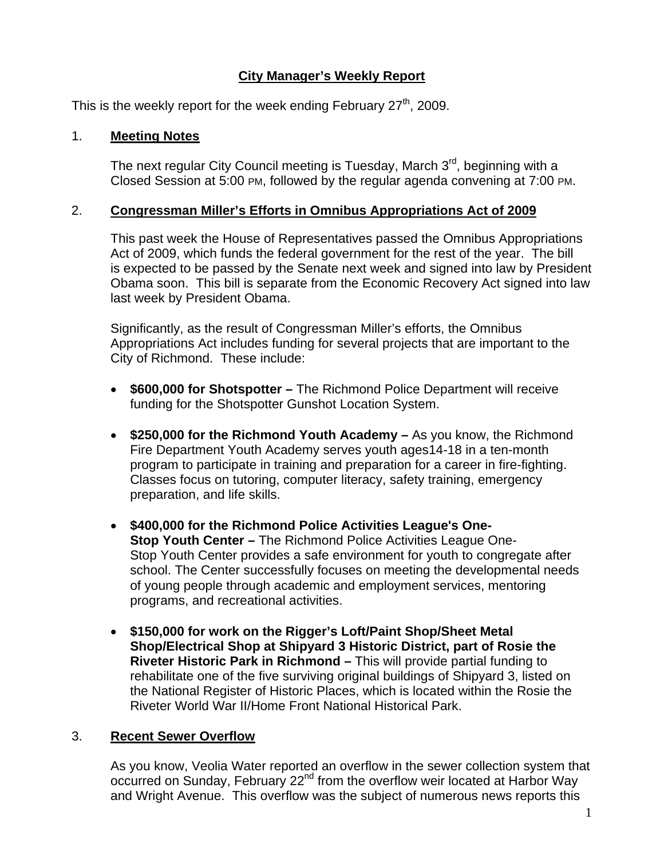# **City Manager's Weekly Report**

This is the weekly report for the week ending February  $27<sup>th</sup>$ , 2009.

## 1. **Meeting Notes**

The next regular City Council meeting is Tuesday, March 3<sup>rd</sup>, beginning with a Closed Session at 5:00 PM, followed by the regular agenda convening at 7:00 PM.

## 2. **Congressman Miller's Efforts in Omnibus Appropriations Act of 2009**

This past week the House of Representatives passed the Omnibus Appropriations Act of 2009, which funds the federal government for the rest of the year. The bill is expected to be passed by the Senate next week and signed into law by President Obama soon. This bill is separate from the Economic Recovery Act signed into law last week by President Obama.

Significantly, as the result of Congressman Miller's efforts, the Omnibus Appropriations Act includes funding for several projects that are important to the City of Richmond. These include:

- **\$600,000 for Shotspotter –** The Richmond Police Department will receive funding for the Shotspotter Gunshot Location System.
- **\$250,000 for the Richmond Youth Academy** As you know, the Richmond Fire Department Youth Academy serves youth ages14-18 in a ten-month program to participate in training and preparation for a career in fire-fighting. Classes focus on tutoring, computer literacy, safety training, emergency preparation, and life skills.
- **\$400,000 for the Richmond Police Activities League's One-Stop Youth Center –** The Richmond Police Activities League One-Stop Youth Center provides a safe environment for youth to congregate after school. The Center successfully focuses on meeting the developmental needs of young people through academic and employment services, mentoring programs, and recreational activities.
- **\$150,000 for work on the Rigger's Loft/Paint Shop/Sheet Metal Shop/Electrical Shop at Shipyard 3 Historic District, part of Rosie the Riveter Historic Park in Richmond –** This will provide partial funding to rehabilitate one of the five surviving original buildings of Shipyard 3, listed on the National Register of Historic Places, which is located within the Rosie the Riveter World War II/Home Front National Historical Park.

## 3. **Recent Sewer Overflow**

As you know, Veolia Water reported an overflow in the sewer collection system that occurred on Sunday, February 22<sup>nd</sup> from the overflow weir located at Harbor Way and Wright Avenue. This overflow was the subject of numerous news reports this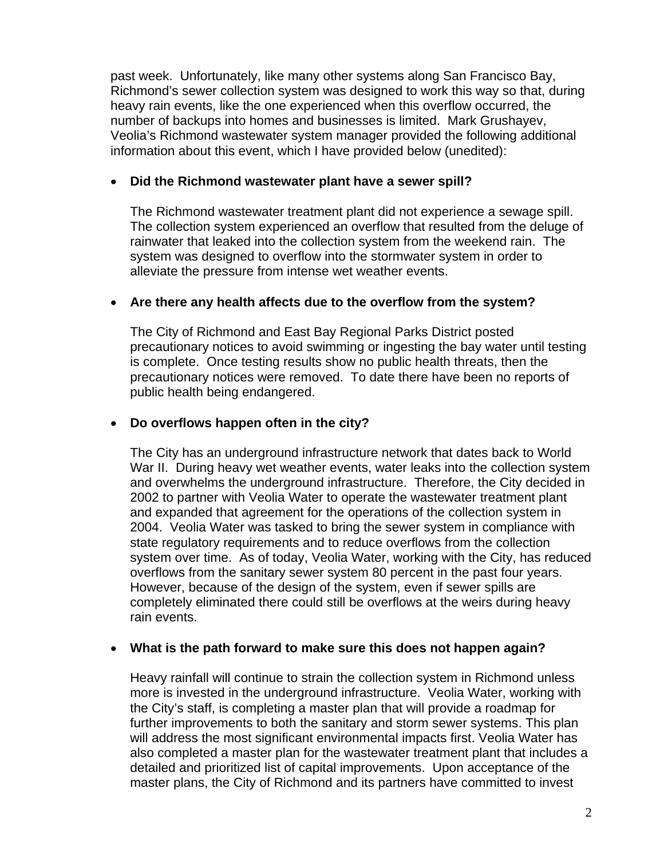past week. Unfortunately, like many other systems along San Francisco Bay, Richmond's sewer collection system was designed to work this way so that, during heavy rain events, like the one experienced when this overflow occurred, the number of backups into homes and businesses is limited. Mark Grushayev, Veolia's Richmond wastewater system manager provided the following additional information about this event, which I have provided below (unedited):

#### • **Did the Richmond wastewater plant have a sewer spill?**

The Richmond wastewater treatment plant did not experience a sewage spill. The collection system experienced an overflow that resulted from the deluge of rainwater that leaked into the collection system from the weekend rain. The system was designed to overflow into the stormwater system in order to alleviate the pressure from intense wet weather events.

#### • **Are there any health affects due to the overflow from the system?**

The City of Richmond and East Bay Regional Parks District posted precautionary notices to avoid swimming or ingesting the bay water until testing is complete. Once testing results show no public health threats, then the precautionary notices were removed. To date there have been no reports of public health being endangered.

#### • **Do overflows happen often in the city?**

The City has an underground infrastructure network that dates back to World War II. During heavy wet weather events, water leaks into the collection system and overwhelms the underground infrastructure. Therefore, the City decided in 2002 to partner with Veolia Water to operate the wastewater treatment plant and expanded that agreement for the operations of the collection system in 2004. Veolia Water was tasked to bring the sewer system in compliance with state regulatory requirements and to reduce overflows from the collection system over time. As of today, Veolia Water, working with the City, has reduced overflows from the sanitary sewer system 80 percent in the past four years. However, because of the design of the system, even if sewer spills are completely eliminated there could still be overflows at the weirs during heavy rain events.

#### • **What is the path forward to make sure this does not happen again?**

Heavy rainfall will continue to strain the collection system in Richmond unless more is invested in the underground infrastructure. Veolia Water, working with the City's staff, is completing a master plan that will provide a roadmap for further improvements to both the sanitary and storm sewer systems. This plan will address the most significant environmental impacts first. Veolia Water has also completed a master plan for the wastewater treatment plant that includes a detailed and prioritized list of capital improvements. Upon acceptance of the master plans, the City of Richmond and its partners have committed to invest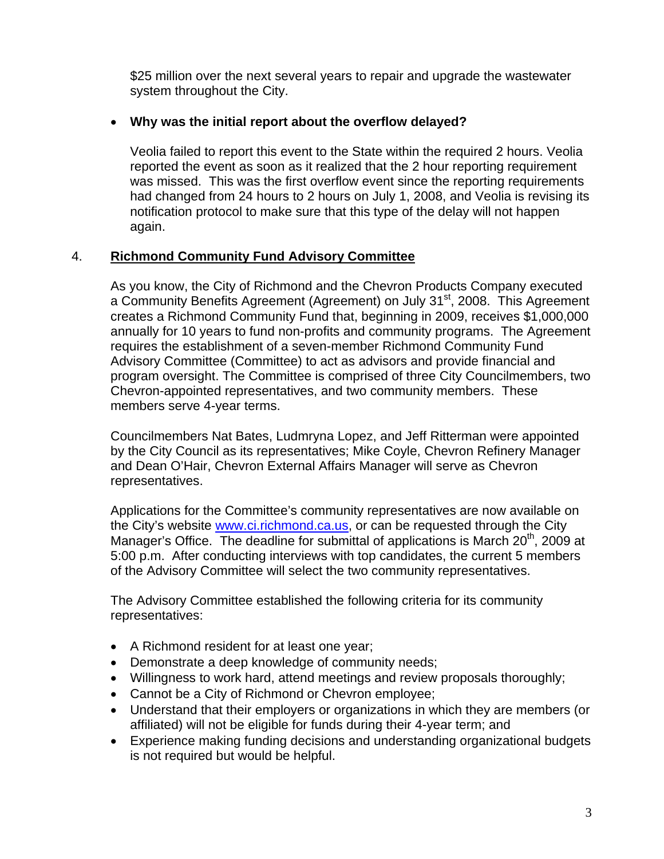\$25 million over the next several years to repair and upgrade the wastewater system throughout the City.

## • **Why was the initial report about the overflow delayed?**

Veolia failed to report this event to the State within the required 2 hours. Veolia reported the event as soon as it realized that the 2 hour reporting requirement was missed. This was the first overflow event since the reporting requirements had changed from 24 hours to 2 hours on July 1, 2008, and Veolia is revising its notification protocol to make sure that this type of the delay will not happen again.

# 4. **Richmond Community Fund Advisory Committee**

As you know, the City of Richmond and the Chevron Products Company executed a Community Benefits Agreement (Agreement) on July 31<sup>st</sup>, 2008. This Agreement creates a Richmond Community Fund that, beginning in 2009, receives \$1,000,000 annually for 10 years to fund non-profits and community programs. The Agreement requires the establishment of a seven-member Richmond Community Fund Advisory Committee (Committee) to act as advisors and provide financial and program oversight. The Committee is comprised of three City Councilmembers, two Chevron-appointed representatives, and two community members. These members serve 4-year terms.

Councilmembers Nat Bates, Ludmryna Lopez, and Jeff Ritterman were appointed by the City Council as its representatives; Mike Coyle, Chevron Refinery Manager and Dean O'Hair, Chevron External Affairs Manager will serve as Chevron representatives.

Applications for the Committee's community representatives are now available on the City's website [www.ci.richmond.ca.us](http://www.ci.richmond.ca.us/), or can be requested through the City Manager's Office. The deadline for submittal of applications is March 20<sup>th</sup>, 2009 at 5:00 p.m. After conducting interviews with top candidates, the current 5 members of the Advisory Committee will select the two community representatives.

The Advisory Committee established the following criteria for its community representatives:

- A Richmond resident for at least one year;
- Demonstrate a deep knowledge of community needs;
- Willingness to work hard, attend meetings and review proposals thoroughly;
- Cannot be a City of Richmond or Chevron employee;
- Understand that their employers or organizations in which they are members (or affiliated) will not be eligible for funds during their 4-year term; and
- Experience making funding decisions and understanding organizational budgets is not required but would be helpful.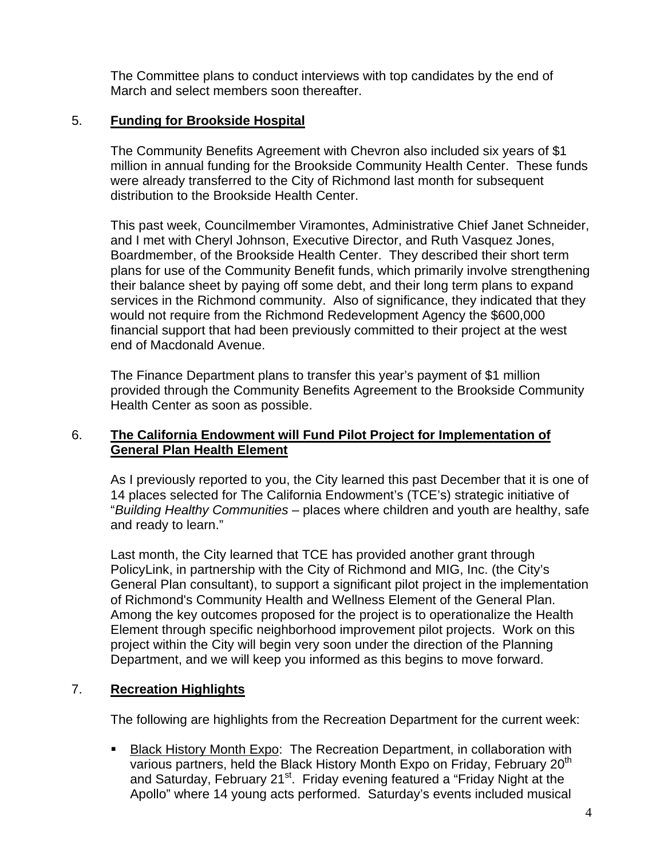The Committee plans to conduct interviews with top candidates by the end of March and select members soon thereafter.

## 5. **Funding for Brookside Hospital**

The Community Benefits Agreement with Chevron also included six years of \$1 million in annual funding for the Brookside Community Health Center. These funds were already transferred to the City of Richmond last month for subsequent distribution to the Brookside Health Center.

This past week, Councilmember Viramontes, Administrative Chief Janet Schneider, and I met with Cheryl Johnson, Executive Director, and Ruth Vasquez Jones, Boardmember, of the Brookside Health Center. They described their short term plans for use of the Community Benefit funds, which primarily involve strengthening their balance sheet by paying off some debt, and their long term plans to expand services in the Richmond community. Also of significance, they indicated that they would not require from the Richmond Redevelopment Agency the \$600,000 financial support that had been previously committed to their project at the west end of Macdonald Avenue.

The Finance Department plans to transfer this year's payment of \$1 million provided through the Community Benefits Agreement to the Brookside Community Health Center as soon as possible.

#### 6. **The California Endowment will Fund Pilot Project for Implementation of General Plan Health Element**

As I previously reported to you, the City learned this past December that it is one of 14 places selected for The California Endowment's (TCE's) strategic initiative of "*Building Healthy Communities* – places where children and youth are healthy, safe and ready to learn."

Last month, the City learned that TCE has provided another grant through PolicyLink, in partnership with the City of Richmond and MIG, Inc. (the City's General Plan consultant), to support a significant pilot project in the implementation of Richmond's Community Health and Wellness Element of the General Plan. Among the key outcomes proposed for the project is to operationalize the Health Element through specific neighborhood improvement pilot projects. Work on this project within the City will begin very soon under the direction of the Planning Department, and we will keep you informed as this begins to move forward.

## 7. **Recreation Highlights**

The following are highlights from the Recreation Department for the current week:

**Black History Month Expo: The Recreation Department, in collaboration with** various partners, held the Black History Month Expo on Friday, February 20<sup>th</sup> and Saturday, February 21<sup>st</sup>. Friday evening featured a "Friday Night at the Apollo" where 14 young acts performed. Saturday's events included musical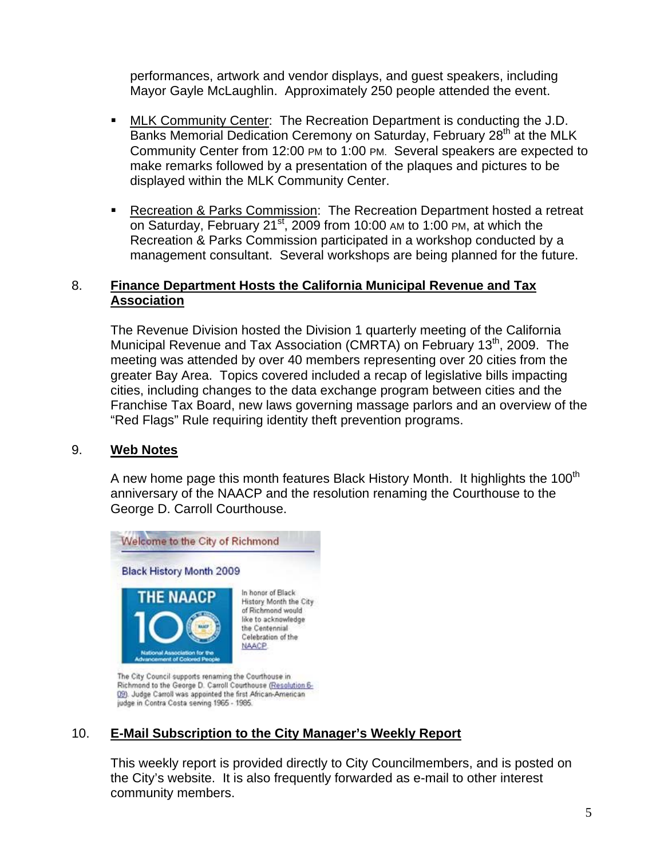performances, artwork and vendor displays, and guest speakers, including Mayor Gayle McLaughlin. Approximately 250 people attended the event.

- MLK Community Center: The Recreation Department is conducting the J.D. Banks Memorial Dedication Ceremony on Saturday, February 28<sup>th</sup> at the MLK Community Center from 12:00 PM to 1:00 PM. Several speakers are expected to make remarks followed by a presentation of the plaques and pictures to be displayed within the MLK Community Center.
- Recreation & Parks Commission: The Recreation Department hosted a retreat on Saturday, February 21 $^{\rm st}$ , 2009 from 10:00 AM to 1:00 PM, at which the Recreation & Parks Commission participated in a workshop conducted by a management consultant. Several workshops are being planned for the future.

#### 8. **Finance Department Hosts the California Municipal Revenue and Tax Association**

The Revenue Division hosted the Division 1 quarterly meeting of the California Municipal Revenue and Tax Association (CMRTA) on February 13<sup>th</sup>, 2009. The meeting was attended by over 40 members representing over 20 cities from the greater Bay Area. Topics covered included a recap of legislative bills impacting cities, including changes to the data exchange program between cities and the Franchise Tax Board, new laws governing massage parlors and an overview of the "Red Flags" Rule requiring identity theft prevention programs.

#### 9. **Web Notes**

A new home page this month features Black History Month. It highlights the 100<sup>th</sup> anniversary of the NAACP and the resolution renaming the Courthouse to the George D. Carroll Courthouse.



## 10. **E-Mail Subscription to the City Manager's Weekly Report**

This weekly report is provided directly to City Councilmembers, and is posted on the City's website. It is also frequently forwarded as e-mail to other interest community members.